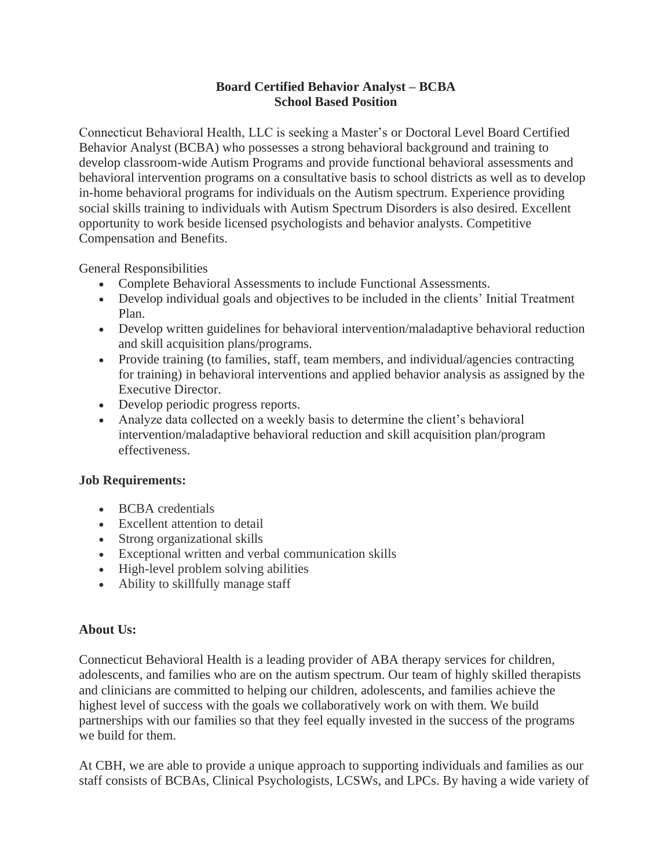## **Board Certified Behavior Analyst – BCBA School Based Position**

Connecticut Behavioral Health, LLC is seeking a Master's or Doctoral Level Board Certified Behavior Analyst (BCBA) who possesses a strong behavioral background and training to develop classroom-wide Autism Programs and provide functional behavioral assessments and behavioral intervention programs on a consultative basis to school districts as well as to develop in-home behavioral programs for individuals on the Autism spectrum. Experience providing social skills training to individuals with Autism Spectrum Disorders is also desired. Excellent opportunity to work beside licensed psychologists and behavior analysts. Competitive Compensation and Benefits.

General Responsibilities

- Complete Behavioral Assessments to include Functional Assessments.
- Develop individual goals and objectives to be included in the clients' Initial Treatment Plan.
- Develop written guidelines for behavioral intervention/maladaptive behavioral reduction and skill acquisition plans/programs.
- Provide training (to families, staff, team members, and individual/agencies contracting for training) in behavioral interventions and applied behavior analysis as assigned by the Executive Director.
- Develop periodic progress reports.
- Analyze data collected on a weekly basis to determine the client's behavioral intervention/maladaptive behavioral reduction and skill acquisition plan/program effectiveness.

## **Job Requirements:**

- BCBA credentials
- Excellent attention to detail
- Strong organizational skills
- Exceptional written and verbal communication skills
- High-level problem solving abilities
- Ability to skillfully manage staff

## **About Us:**

Connecticut Behavioral Health is a leading provider of ABA therapy services for children, adolescents, and families who are on the autism spectrum. Our team of highly skilled therapists and clinicians are committed to helping our children, adolescents, and families achieve the highest level of success with the goals we collaboratively work on with them. We build partnerships with our families so that they feel equally invested in the success of the programs we build for them.

At CBH, we are able to provide a unique approach to supporting individuals and families as our staff consists of BCBAs, Clinical Psychologists, LCSWs, and LPCs. By having a wide variety of